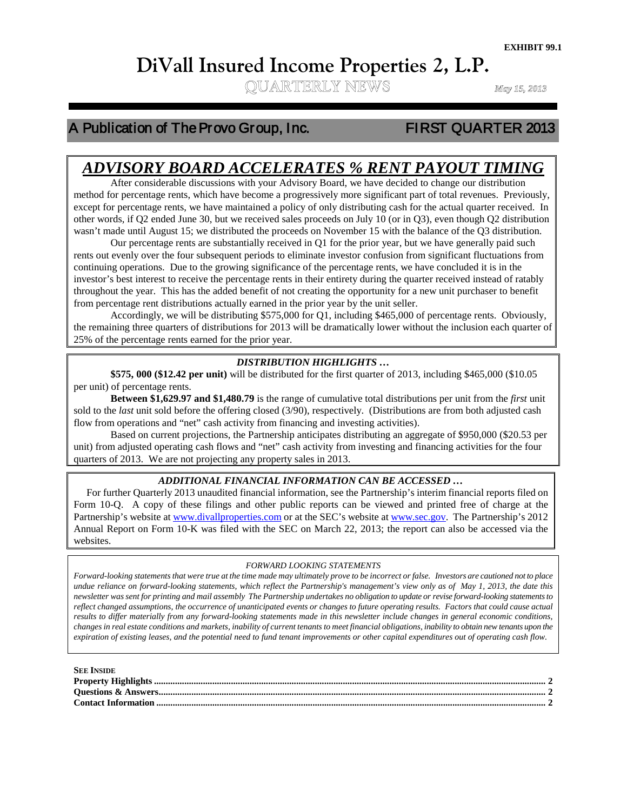# **DiVall Insured Income Properties 2, L.P.**<br>
QUARTERLY NEWS

# A Publication of The Provo Group, Inc. FIRST QUARTER 2013

Ξ

# *ADVISORY BOARD ACCELERATES % RENT PAYOUT TIMING*

except for percentage rents, when have eccente a progressively more significant part of team reventees. Treviously, except for percentage rents, we have maintained a policy of only distributing cash for the actual quarter After considerable discussions with your Advisory Board, we have decided to change our distribution method for percentage rents, which have become a progressively more significant part of total revenues. Previously, other words, if Q2 ended June 30, but we received sales proceeds on July 10 (or in Q3), even though Q2 distribution wasn't made until August 15; we distributed the proceeds on November 15 with the balance of the Q3 distribution.

Our percentage rents are substantially received in Q1 for the prior year, but we have generally paid such rents out evenly over the four subsequent periods to eliminate investor confusion from significant fluctuations from continuing operations. Due to the growing significance of the percentage rents, we have concluded it is in the investor's best interest to receive the percentage rents in their entirety during the quarter received instead of ratably throughout the year. This has the added benefit of not creating the opportunity for a new unit purchaser to benefit from percentage rent distributions actually earned in the prior year by the unit seller.

Accordingly, we will be distributing \$575,000 for Q1, including \$465,000 of percentage rents. Obviously, the remaining three quarters of distributions for 2013 will be dramatically lower without the inclusion each quarter of 25% of the percentage rents earned for the prior year.

#### *DISTRIBUTION HIGHLIGHTS …*

**\$575, 000 (\$12.42 per unit)** will be distributed for the first quarter of 2013, including \$465,000 (\$10.05 per unit) of percentage rents.

**Between \$1,629.97 and \$1,480.79** is the range of cumulative total distributions per unit from the *first* unit sold to the *last* unit sold before the offering closed (3/90), respectively. (Distributions are from both adjusted cash flow from operations and "net" cash activity from financing and investing activities).

Based on current projections, the Partnership anticipates distributing an aggregate of \$950,000 (\$20.53 per unit) from adjusted operating cash flows and "net" cash activity from investing and financing activities for the four quarters of 2013. We are not projecting any property sales in 2013.

#### *ADDITIONAL FINANCIAL INFORMATION CAN BE ACCESSED …*

 For further Quarterly 2013 unaudited financial information, see the Partnership's interim financial reports filed on Form 10-Q. A copy of these filings and other public reports can be viewed and printed free of charge at the Partnership's website at [www.divallproperties.com](http://www.divallproperties.com/) or at the SEC's website at [www.sec.gov.](http://www.sec.gov/) The Partnership's 2012 Annual Report on Form 10-K was filed with the SEC on March 22, 2013; the report can also be accessed via the websites.

#### *FORWARD LOOKING STATEMENTS*

*Forward-looking statements that were true at the time made may ultimately prove to be incorrect or false. Investors are cautioned not to place undue reliance on forward-looking statements, which reflect the Partnership's management's view only as of May 1, 2013, the date this newsletter was sent for printing and mail assembly The Partnership undertakes no obligation to update or revise forward-looking statements to reflect changed assumptions, the occurrence of unanticipated events or changes to future operating results. Factors that could cause actual results to differ materially from any forward-looking statements made in this newsletter include changes in general economic conditions, changes in real estate conditions and markets, inability of current tenants to meet financial obligations, inability to obtain new tenants upon the expiration of existing leases, and the potential need to fund tenant improvements or other capital expenditures out of operating cash flow.*

| <b>SEE INSIDE</b> |  |
|-------------------|--|
|                   |  |
|                   |  |
|                   |  |
|                   |  |